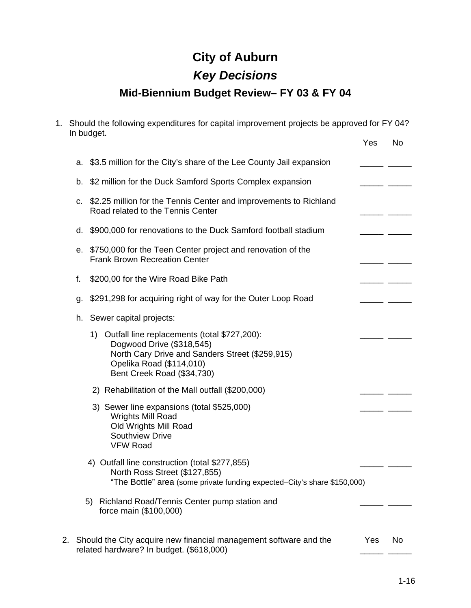## **City of Auburn**  *Key Decisions*

## **Mid-Biennium Budget Review– FY 03 & FY 04**

1. Should the following expenditures for capital improvement projects be approved for FY 04? In budget.

|    |                                                                                                                                                                                              | Yes | No |
|----|----------------------------------------------------------------------------------------------------------------------------------------------------------------------------------------------|-----|----|
| а. | \$3.5 million for the City's share of the Lee County Jail expansion                                                                                                                          |     |    |
|    | b. \$2 million for the Duck Samford Sports Complex expansion                                                                                                                                 |     |    |
| C. | \$2.25 million for the Tennis Center and improvements to Richland<br>Road related to the Tennis Center                                                                                       |     |    |
|    | d. \$900,000 for renovations to the Duck Samford football stadium                                                                                                                            |     |    |
|    | e. \$750,000 for the Teen Center project and renovation of the<br><b>Frank Brown Recreation Center</b>                                                                                       |     |    |
| f. | \$200,00 for the Wire Road Bike Path                                                                                                                                                         |     |    |
| g. | \$291,298 for acquiring right of way for the Outer Loop Road                                                                                                                                 |     |    |
| h. | Sewer capital projects:                                                                                                                                                                      |     |    |
|    | Outfall line replacements (total \$727,200):<br>1)<br>Dogwood Drive (\$318,545)<br>North Cary Drive and Sanders Street (\$259,915)<br>Opelika Road (\$114,010)<br>Bent Creek Road (\$34,730) |     |    |
|    | 2) Rehabilitation of the Mall outfall (\$200,000)                                                                                                                                            |     |    |
|    | 3) Sewer line expansions (total \$525,000)<br>Wrights Mill Road<br>Old Wrights Mill Road<br><b>Southview Drive</b><br><b>VFW Road</b>                                                        |     |    |
|    | 4) Outfall line construction (total \$277,855)<br>North Ross Street (\$127,855)<br>"The Bottle" area (some private funding expected–City's share \$150,000)                                  |     |    |
|    | 5) Richland Road/Tennis Center pump station and<br>force main (\$100,000)                                                                                                                    |     |    |
|    | 2. Should the City acquire new financial management software and the<br>related hardware? In budget. (\$618,000)                                                                             | Yes | No |